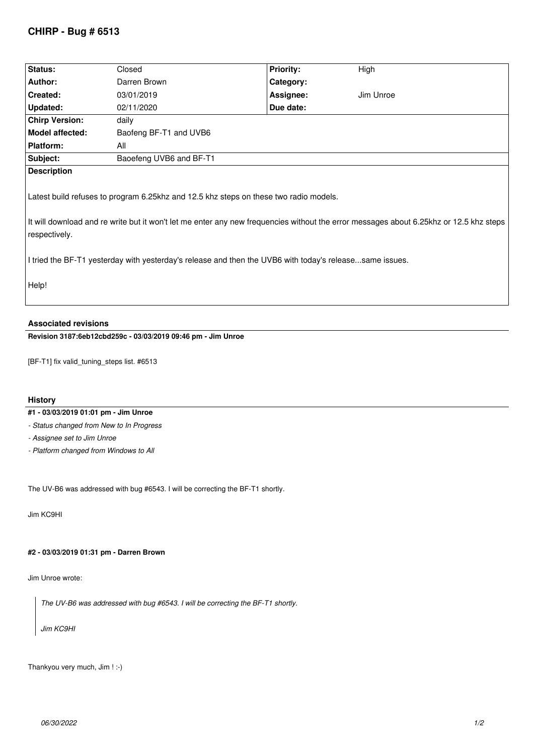# **CHIRP - Bug # 6513**

| <b>Status:</b>                                                                                                                                          | Closed                  | <b>Priority:</b> | High      |
|---------------------------------------------------------------------------------------------------------------------------------------------------------|-------------------------|------------------|-----------|
| Author:                                                                                                                                                 | Darren Brown            | Category:        |           |
| Created:                                                                                                                                                | 03/01/2019              | Assignee:        | Jim Unroe |
| Updated:                                                                                                                                                | 02/11/2020              | Due date:        |           |
| <b>Chirp Version:</b>                                                                                                                                   | daily                   |                  |           |
| Model affected:                                                                                                                                         | Baofeng BF-T1 and UVB6  |                  |           |
| <b>Platform:</b>                                                                                                                                        | All                     |                  |           |
| Subject:                                                                                                                                                | Baoefeng UVB6 and BF-T1 |                  |           |
| <b>Description</b>                                                                                                                                      |                         |                  |           |
| Latest build refuses to program 6.25khz and 12.5 khz steps on these two radio models.                                                                   |                         |                  |           |
| It will download and re write but it won't let me enter any new frequencies without the error messages about 6.25khz or 12.5 khz steps<br>respectively. |                         |                  |           |
| I tried the BF-T1 yesterday with yesterday's release and then the UVB6 with today's releasesame issues.                                                 |                         |                  |           |
| Help!                                                                                                                                                   |                         |                  |           |

### **Associated revisions**

**Revision 3187:6eb12cbd259c - 03/03/2019 09:46 pm - Jim Unroe** 

*[BF-T1] fix valid\_tuning\_steps list. #6513*

### **History**

### **#1 - 03/03/2019 01:01 pm - Jim Unroe**

*- Status changed from New to In Progress*

*- Assignee set to Jim Unroe*

*- Platform changed from Windows to All*

*The UV-B6 was addressed with bug #6543. I will be correcting the BF-T1 shortly.*

*Jim KC9HI*

#### **#2 - 03/03/2019 01:31 pm - Darren Brown**

*Jim Unroe wrote:*

*The UV-B6 was addressed with bug #6543. I will be correcting the BF-T1 shortly.*

*Jim KC9HI*

*Thankyou very much, Jim ! :-)*